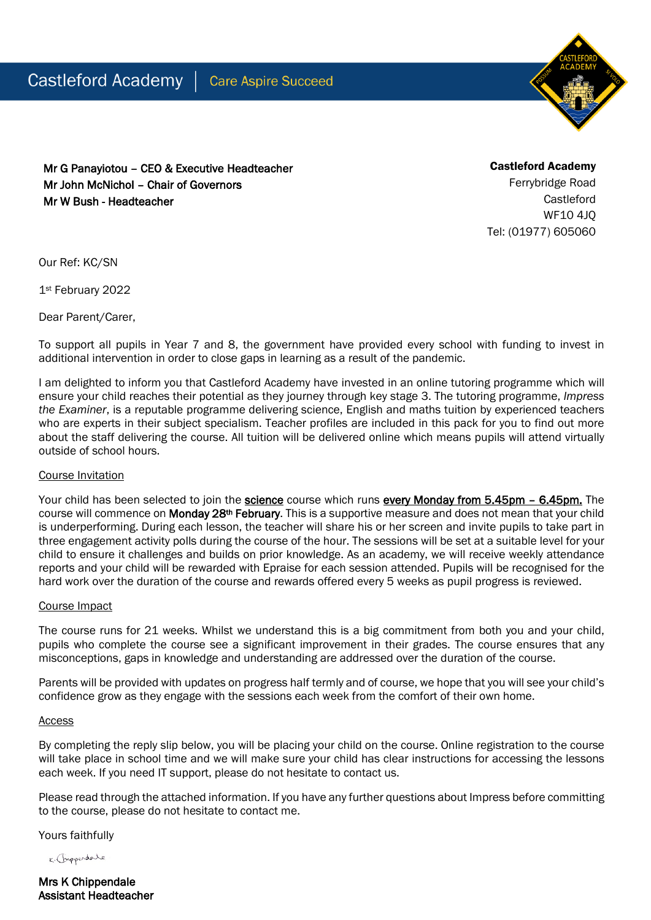

Mr G Panayiotou – CEO & Executive Headteacher Mr John McNichol – Chair of Governors Mr W Bush - Headteacher

Castleford Academy Ferrybridge Road Castleford WF10 4JQ Tel: (01977) 605060

Our Ref: KC/SN

1st February 2022

Dear Parent/Carer,

To support all pupils in Year 7 and 8, the government have provided every school with funding to invest in additional intervention in order to close gaps in learning as a result of the pandemic.

I am delighted to inform you that Castleford Academy have invested in an online tutoring programme which will ensure your child reaches their potential as they journey through key stage 3. The tutoring programme, *Impress the Examiner*, is a reputable programme delivering science, English and maths tuition by experienced teachers who are experts in their subject specialism. Teacher profiles are included in this pack for you to find out more about the staff delivering the course. All tuition will be delivered online which means pupils will attend virtually outside of school hours.

## Course Invitation

Your child has been selected to join the **science** course which runs every Monday from 5.45pm – 6.45pm. The course will commence on Monday 28<sup>th</sup> February. This is a supportive measure and does not mean that your child is underperforming. During each lesson, the teacher will share his or her screen and invite pupils to take part in three engagement activity polls during the course of the hour. The sessions will be set at a suitable level for your child to ensure it challenges and builds on prior knowledge. As an academy, we will receive weekly attendance reports and your child will be rewarded with Epraise for each session attended. Pupils will be recognised for the hard work over the duration of the course and rewards offered every 5 weeks as pupil progress is reviewed.

## Course Impact

The course runs for 21 weeks. Whilst we understand this is a big commitment from both you and your child, pupils who complete the course see a significant improvement in their grades. The course ensures that any misconceptions, gaps in knowledge and understanding are addressed over the duration of the course.

Parents will be provided with updates on progress half termly and of course, we hope that you will see your child's confidence grow as they engage with the sessions each week from the comfort of their own home.

## Access

By completing the reply slip below, you will be placing your child on the course. Online registration to the course will take place in school time and we will make sure your child has clear instructions for accessing the lessons each week. If you need IT support, please do not hesitate to contact us.

Please read through the attached information. If you have any further questions about Impress before committing to the course, please do not hesitate to contact me.

Yours faithfully

K. Chipperdale

Mrs K Chippendale Assistant Headteacher